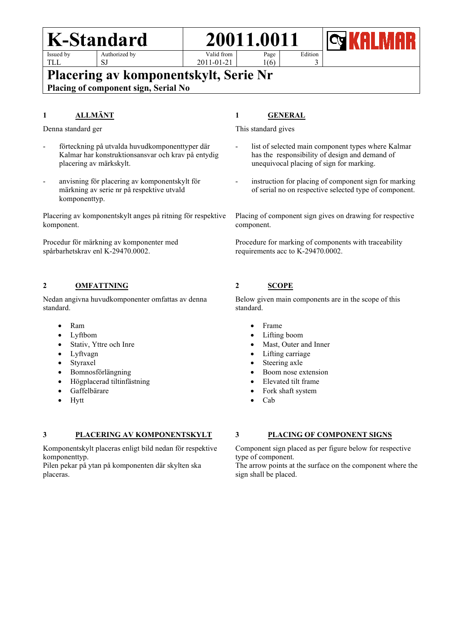**K-Standard 20011.0011** Issued by



Authorized by SJ

Valid from Page

2011-01-21

Edition

3

**Placering av komponentskylt, Serie Nr**

**Placing of component sign, Serial No**

## **1 ALLMÄNT**

Denna standard ger

- förteckning på utvalda huvudkomponenttyper där Kalmar har konstruktionsansvar och krav på entydig placering av märkskylt.
- anvisning för placering av komponentskylt för märkning av serie nr på respektive utvald komponenttyp.

Placering av komponentskylt anges på ritning för respektive komponent.

Procedur för märkning av komponenter med spårbarhetskrav enl K-29470.0002.

## **2 OMFATTNING**

Nedan angivna huvudkomponenter omfattas av denna standard.

- Ram
- Lyftbom
- Stativ, Yttre och Inre
- Lyftvagn
- Styraxel
- Bomnosförlängning
- Högplacerad tiltinfästning
- Gaffelbärare
- Hytt

#### **3 PLACERING AV KOMPONENTSKYLT**

Komponentskylt placeras enligt bild nedan för respektive komponenttyp.

Pilen pekar på ytan på komponenten där skylten ska placeras.

# **1 GENERAL**

1(6)

This standard gives

- list of selected main component types where Kalmar has the responsibility of design and demand of unequivocal placing of sign for marking.
- instruction for placing of component sign for marking of serial no on respective selected type of component.

Placing of component sign gives on drawing for respective component.

Procedure for marking of components with traceability requirements acc to K-29470.0002.

# **2 SCOPE**

Below given main components are in the scope of this standard.

- Frame
- Lifting boom
- Mast, Outer and Inner
- Lifting carriage
- Steering axle
- Boom nose extension
- Elevated tilt frame
- Fork shaft system
- Cab

#### **3 PLACING OF COMPONENT SIGNS**

Component sign placed as per figure below for respective type of component.

The arrow points at the surface on the component where the sign shall be placed.

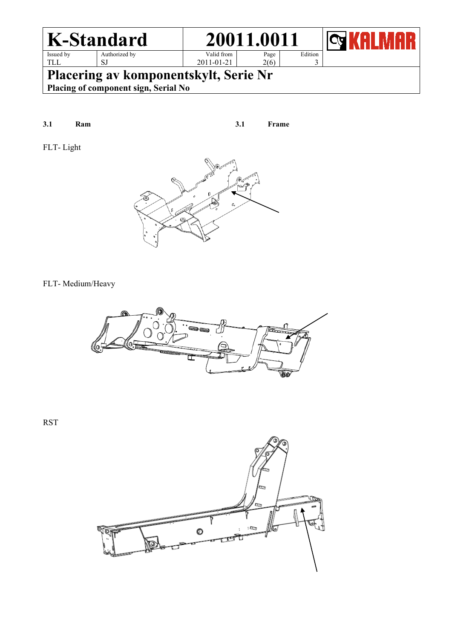

**Placering av komponentskylt, Serie Nr**

**Placing of component sign, Serial No**

**3.1 Ram 3.1 Frame**

FLT- Light



### FLT- Medium/Heavy



RST

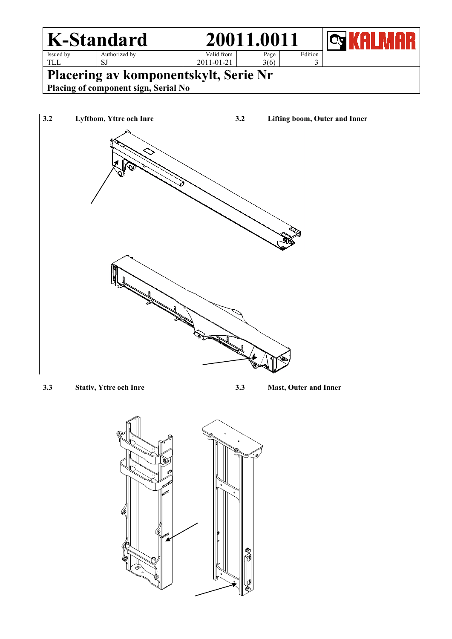

**3.3 Stativ, Yttre och Inre 3.3 Mast, Outer and Inner**

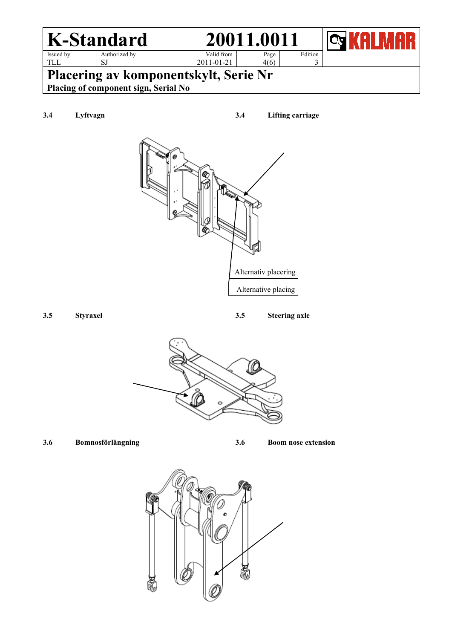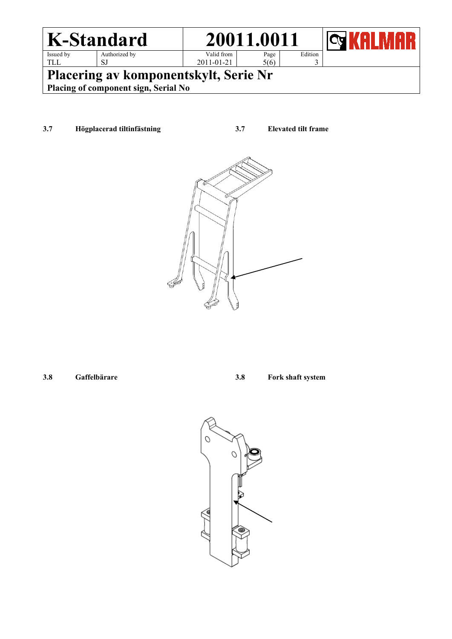

**3.7 Högplacerad tiltinfästning 3.7 Elevated tilt frame**



- 
- **3.8 Gaffelbärare 3.8 Fork shaft system**